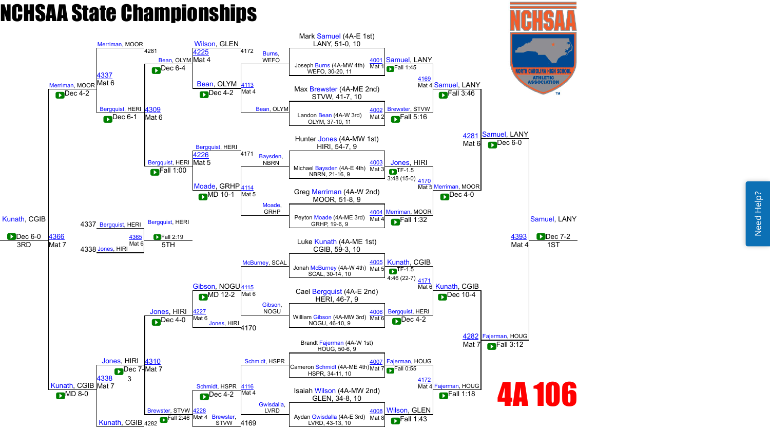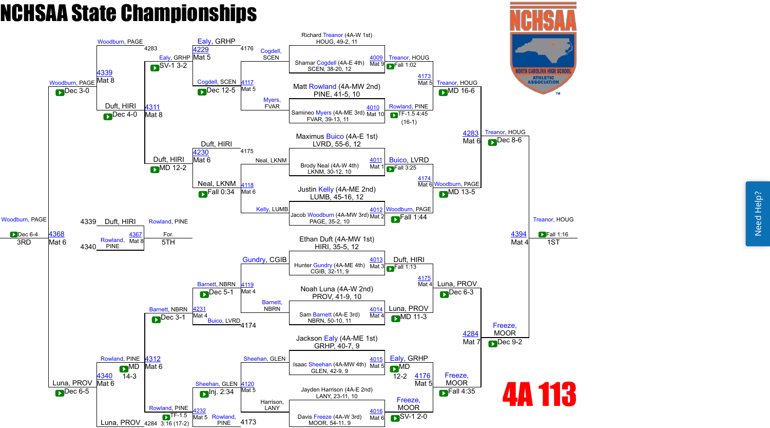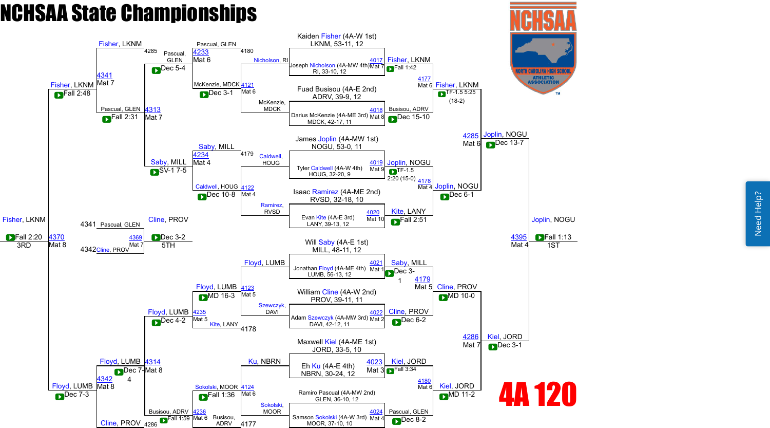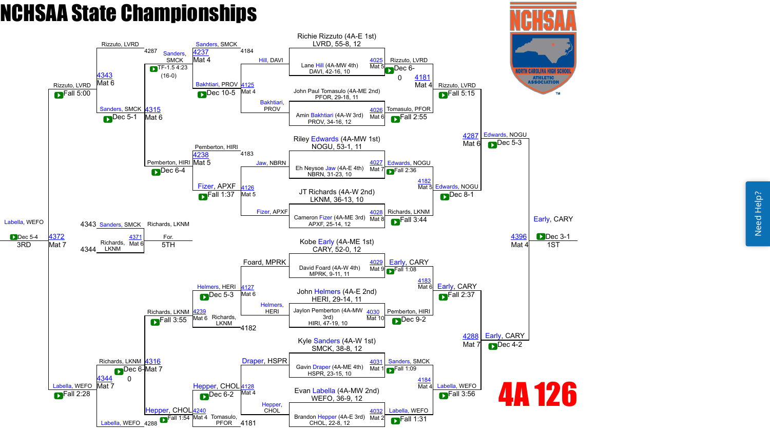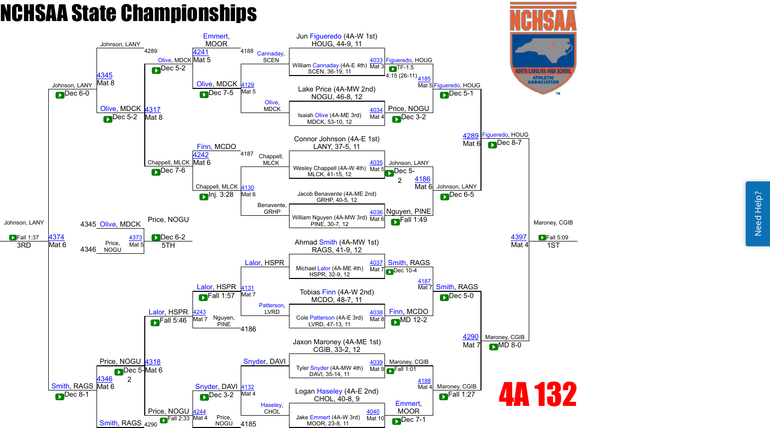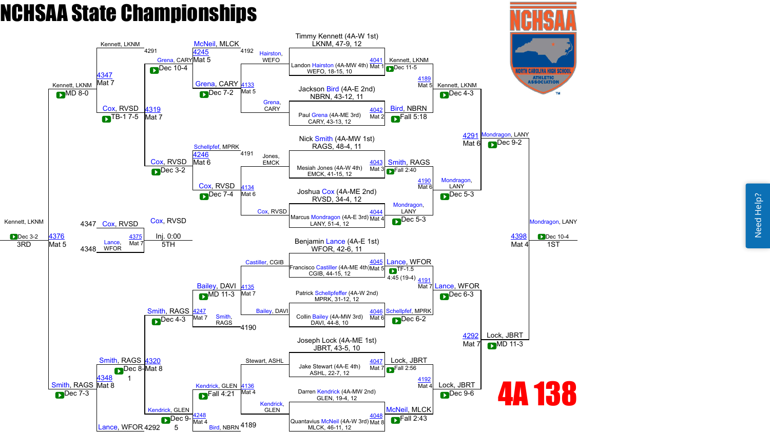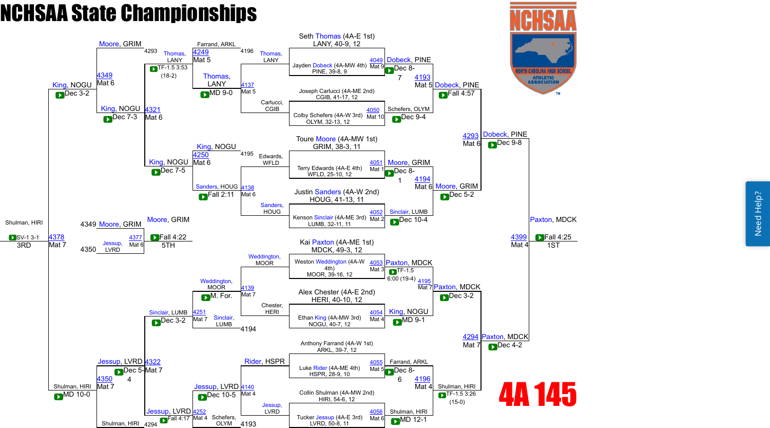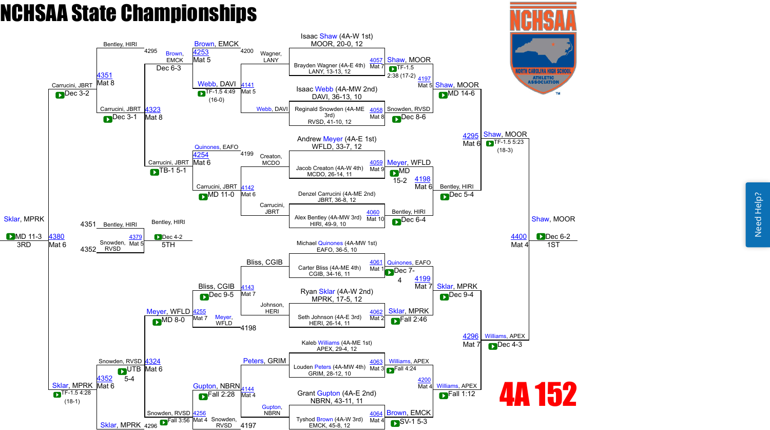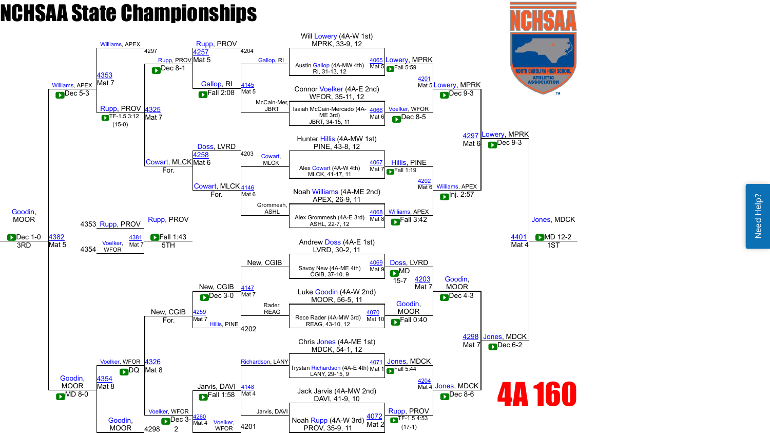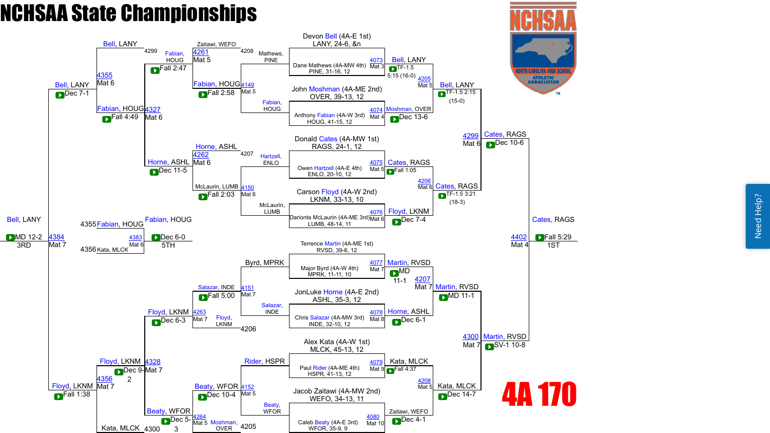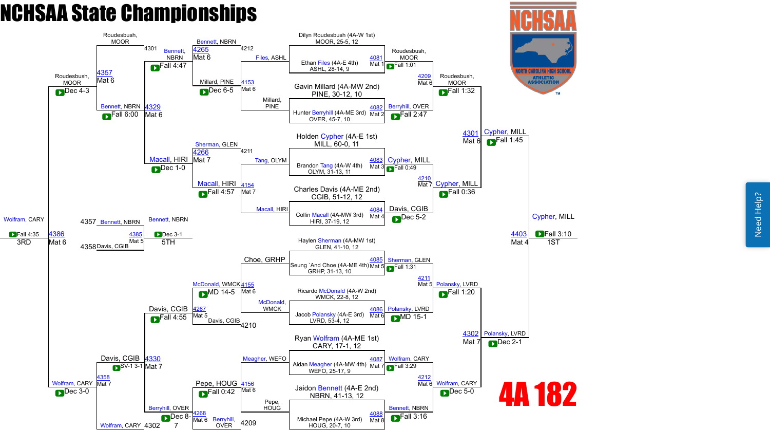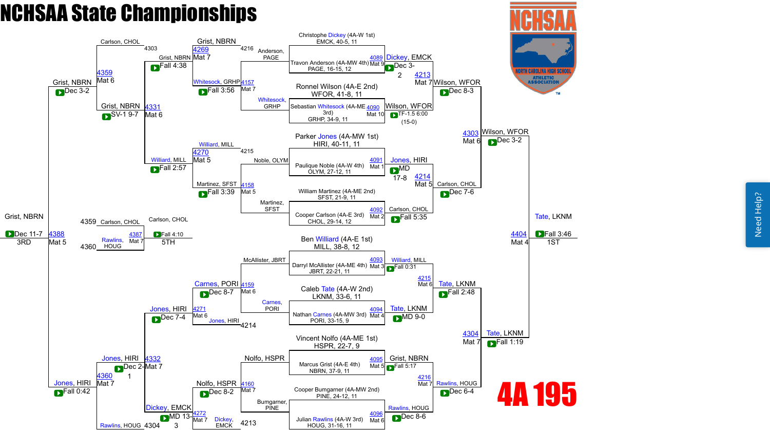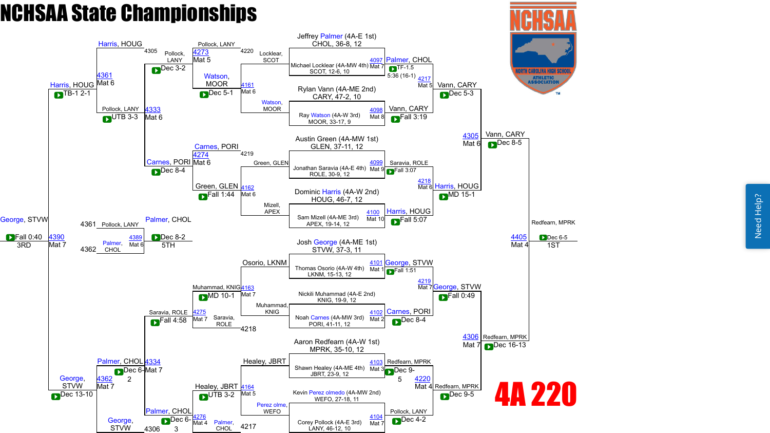